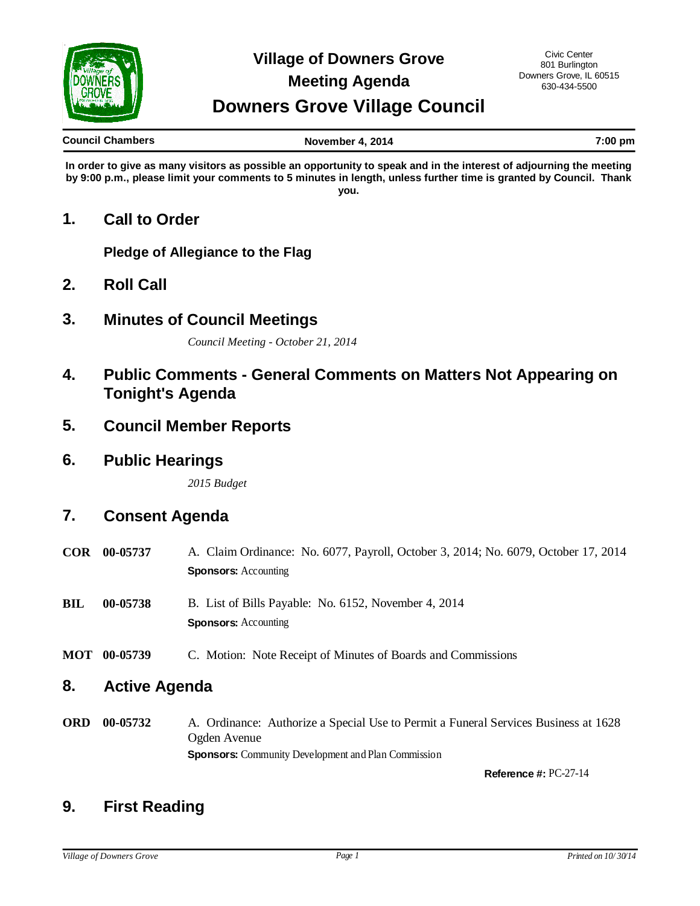

**Council Chambers November 4, 2014 7:00 pm**

**In order to give as many visitors as possible an opportunity to speak and in the interest of adjourning the meeting by 9:00 p.m., please limit your comments to 5 minutes in length, unless further time is granted by Council. Thank you.**

#### **1. Call to Order**

**Pledge of Allegiance to the Flag**

- **2. Roll Call**
- **3. Minutes of Council Meetings**

*Council Meeting - October 21, 2014*

## **4. Public Comments - General Comments on Matters Not Appearing on Tonight's Agenda**

- **5. Council Member Reports**
- **6. Public Hearings**

*2015 Budget*

#### **7. Consent Agenda**

- **COR 00-05737** A. Claim Ordinance: No. 6077, Payroll, October 3, 2014; No. 6079, October 17, 2014 **Sponsors: Accounting**
- **BIL 00-05738** B. List of Bills Payable: No. 6152, November 4, 2014 **Sponsors: Accounting**
- **MOT 00-05739** C. Motion: Note Receipt of Minutes of Boards and Commissions

#### **8. Active Agenda**

**00-05732** A. Ordinance: Authorize a Special Use to Permit a Funeral Services Business at 1628 Ogden Avenue ORD 00-05732 **Sponsors:** Community Development and Plan Commission

**Reference #:** PC-27-14

# **9. First Reading**